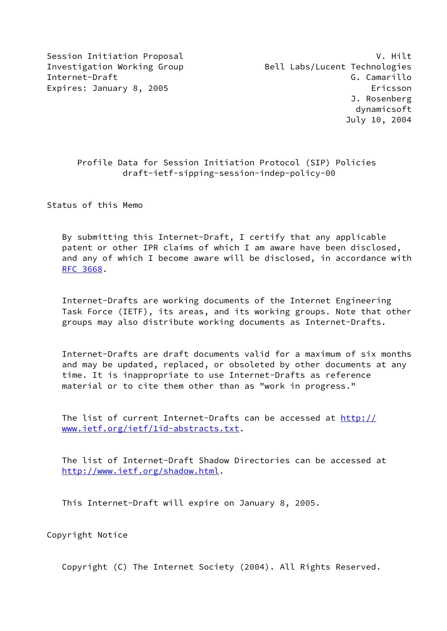# Profile Data for Session Initiation Protocol (SIP) Policies draft-ietf-sipping-session-indep-policy-00

Status of this Memo

 By submitting this Internet-Draft, I certify that any applicable patent or other IPR claims of which I am aware have been disclosed, and any of which I become aware will be disclosed, in accordance with [RFC 3668](https://datatracker.ietf.org/doc/pdf/rfc3668).

 Internet-Drafts are working documents of the Internet Engineering Task Force (IETF), its areas, and its working groups. Note that other groups may also distribute working documents as Internet-Drafts.

 Internet-Drafts are draft documents valid for a maximum of six months and may be updated, replaced, or obsoleted by other documents at any time. It is inappropriate to use Internet-Drafts as reference material or to cite them other than as "work in progress."

 The list of current Internet-Drafts can be accessed at [http://](http://www.ietf.org/ietf/1id-abstracts.txt) [www.ietf.org/ietf/1id-abstracts.txt](http://www.ietf.org/ietf/1id-abstracts.txt).

 The list of Internet-Draft Shadow Directories can be accessed at <http://www.ietf.org/shadow.html>.

This Internet-Draft will expire on January 8, 2005.

Copyright Notice

Copyright (C) The Internet Society (2004). All Rights Reserved.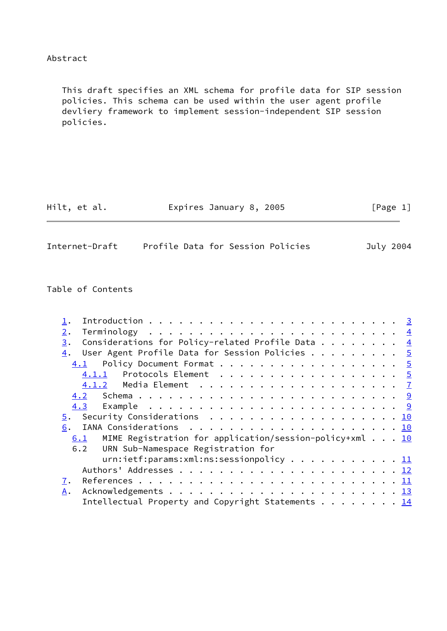## Abstract

 This draft specifies an XML schema for profile data for SIP session policies. This schema can be used within the user agent profile devliery framework to implement session-independent SIP session policies.

| Hilt, et al.<br>Expires January 8, 2005 | [Page 1] |
|-----------------------------------------|----------|
|-----------------------------------------|----------|

| Internet-Draft |  | Profile Data for Session Policies | July 2004 |
|----------------|--|-----------------------------------|-----------|
|                |  |                                   |           |

Table of Contents

| 2.                                                                                 |  |
|------------------------------------------------------------------------------------|--|
| Considerations for Policy-related Profile Data $\frac{4}{5}$<br>3.                 |  |
| User Agent Profile Data for Session Policies $5$<br>4.                             |  |
| Policy Document Format 5<br>4.1                                                    |  |
| Protocols Element $\ldots \ldots \ldots \ldots \ldots \ldots \frac{5}{2}$<br>4.1.1 |  |
|                                                                                    |  |
| 4.2                                                                                |  |
|                                                                                    |  |
| 5. Security Considerations 10                                                      |  |
| 6.                                                                                 |  |
| MIME Registration for application/session-policy+xml $\ldots$ 10<br>6.1            |  |
| 6.2 URN Sub-Namespace Registration for                                             |  |
| urn:ietf:params:xml:ns:sessionpolicy 11                                            |  |
|                                                                                    |  |
| 7.                                                                                 |  |
| A.                                                                                 |  |
| Intellectual Property and Copyright Statements 14                                  |  |
|                                                                                    |  |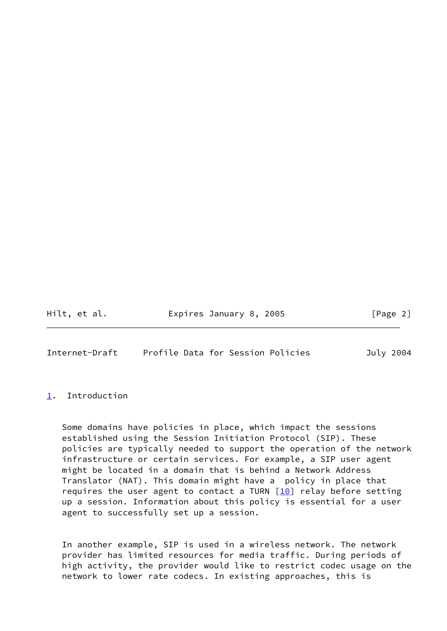Hilt, et al. Expires January 8, 2005 [Page 2]

<span id="page-2-1"></span>Internet-Draft Profile Data for Session Policies July 2004

### <span id="page-2-0"></span>[1](#page-2-0). Introduction

 Some domains have policies in place, which impact the sessions established using the Session Initiation Protocol (SIP). These policies are typically needed to support the operation of the network infrastructure or certain services. For example, a SIP user agent might be located in a domain that is behind a Network Address Translator (NAT). This domain might have a policy in place that requires the user agent to contact a TURN  $[10]$  $[10]$  relay before setting up a session. Information about this policy is essential for a user agent to successfully set up a session.

 In another example, SIP is used in a wireless network. The network provider has limited resources for media traffic. During periods of high activity, the provider would like to restrict codec usage on the network to lower rate codecs. In existing approaches, this is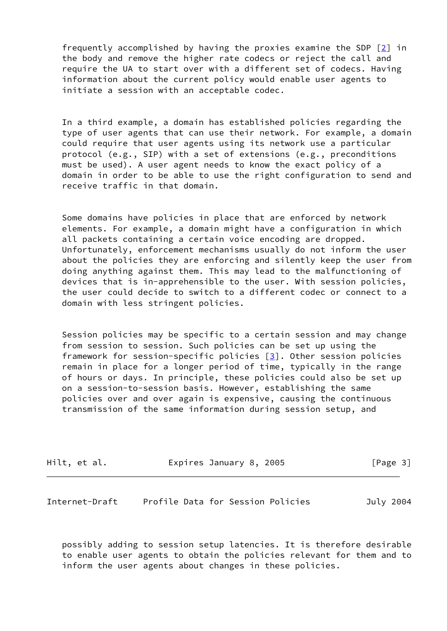frequently accomplished by having the proxies examine the SDP [[2\]](#page-14-2) in the body and remove the higher rate codecs or reject the call and require the UA to start over with a different set of codecs. Having information about the current policy would enable user agents to initiate a session with an acceptable codec.

 In a third example, a domain has established policies regarding the type of user agents that can use their network. For example, a domain could require that user agents using its network use a particular protocol (e.g., SIP) with a set of extensions (e.g., preconditions must be used). A user agent needs to know the exact policy of a domain in order to be able to use the right configuration to send and receive traffic in that domain.

 Some domains have policies in place that are enforced by network elements. For example, a domain might have a configuration in which all packets containing a certain voice encoding are dropped. Unfortunately, enforcement mechanisms usually do not inform the user about the policies they are enforcing and silently keep the user from doing anything against them. This may lead to the malfunctioning of devices that is in-apprehensible to the user. With session policies, the user could decide to switch to a different codec or connect to a domain with less stringent policies.

 Session policies may be specific to a certain session and may change from session to session. Such policies can be set up using the framework for session-specific policies  $\lceil 3 \rceil$ . Other session policies remain in place for a longer period of time, typically in the range of hours or days. In principle, these policies could also be set up on a session-to-session basis. However, establishing the same policies over and over again is expensive, causing the continuous transmission of the same information during session setup, and

| Hilt, et al. | Expires January 8, 2005 | [Page 3] |
|--------------|-------------------------|----------|
|--------------|-------------------------|----------|

<span id="page-3-0"></span>Internet-Draft Profile Data for Session Policies July 2004

 possibly adding to session setup latencies. It is therefore desirable to enable user agents to obtain the policies relevant for them and to inform the user agents about changes in these policies.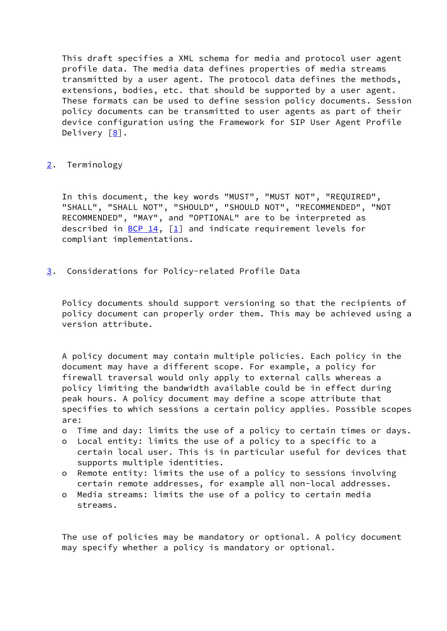This draft specifies a XML schema for media and protocol user agent profile data. The media data defines properties of media streams transmitted by a user agent. The protocol data defines the methods, extensions, bodies, etc. that should be supported by a user agent. These formats can be used to define session policy documents. Session policy documents can be transmitted to user agents as part of their device configuration using the Framework for SIP User Agent Profile Delivery  $[8]$ .

## <span id="page-4-0"></span>[2](#page-4-0). Terminology

 In this document, the key words "MUST", "MUST NOT", "REQUIRED", "SHALL", "SHALL NOT", "SHOULD", "SHOULD NOT", "RECOMMENDED", "NOT RECOMMENDED", "MAY", and "OPTIONAL" are to be interpreted as described in [BCP 14](https://datatracker.ietf.org/doc/pdf/bcp14),  $\begin{bmatrix} 1 \end{bmatrix}$  and indicate requirement levels for compliant implementations.

<span id="page-4-1"></span>[3](#page-4-1). Considerations for Policy-related Profile Data

 Policy documents should support versioning so that the recipients of policy document can properly order them. This may be achieved using a version attribute.

 A policy document may contain multiple policies. Each policy in the document may have a different scope. For example, a policy for firewall traversal would only apply to external calls whereas a policy limiting the bandwidth available could be in effect during peak hours. A policy document may define a scope attribute that specifies to which sessions a certain policy applies. Possible scopes are:

- o Time and day: limits the use of a policy to certain times or days.
- o Local entity: limits the use of a policy to a specific to a certain local user. This is in particular useful for devices that supports multiple identities.
- o Remote entity: limits the use of a policy to sessions involving certain remote addresses, for example all non-local addresses.
- o Media streams: limits the use of a policy to certain media streams.

 The use of policies may be mandatory or optional. A policy document may specify whether a policy is mandatory or optional.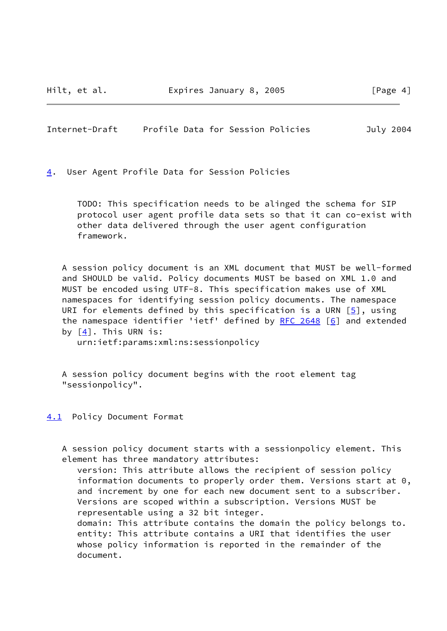<span id="page-5-1"></span>Internet-Draft Profile Data for Session Policies July 2004

<span id="page-5-0"></span>[4](#page-5-0). User Agent Profile Data for Session Policies

 TODO: This specification needs to be alinged the schema for SIP protocol user agent profile data sets so that it can co-exist with other data delivered through the user agent configuration framework.

 A session policy document is an XML document that MUST be well-formed and SHOULD be valid. Policy documents MUST be based on XML 1.0 and MUST be encoded using UTF-8. This specification makes use of XML namespaces for identifying session policy documents. The namespace URI for elements defined by this specification is a URN  $[5]$  $[5]$ , using the namespace identifier 'ietf' defined by [RFC 2648](https://datatracker.ietf.org/doc/pdf/rfc2648) [\[6](#page-15-3)] and extended by [[4\]](#page-14-5). This URN is:

urn:ietf:params:xml:ns:sessionpolicy

 A session policy document begins with the root element tag "sessionpolicy".

<span id="page-5-2"></span>[4.1](#page-5-2) Policy Document Format

 A session policy document starts with a sessionpolicy element. This element has three mandatory attributes:

 version: This attribute allows the recipient of session policy information documents to properly order them. Versions start at 0, and increment by one for each new document sent to a subscriber. Versions are scoped within a subscription. Versions MUST be representable using a 32 bit integer.

 domain: This attribute contains the domain the policy belongs to. entity: This attribute contains a URI that identifies the user whose policy information is reported in the remainder of the document.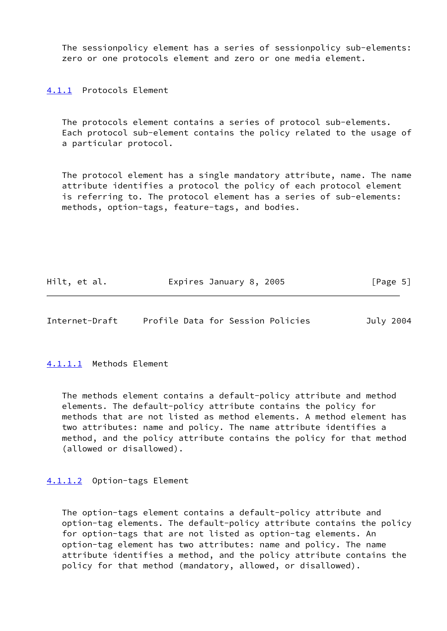The sessionpolicy element has a series of sessionpolicy sub-elements: zero or one protocols element and zero or one media element.

<span id="page-6-0"></span>[4.1.1](#page-6-0) Protocols Element

 The protocols element contains a series of protocol sub-elements. Each protocol sub-element contains the policy related to the usage of a particular protocol.

 The protocol element has a single mandatory attribute, name. The name attribute identifies a protocol the policy of each protocol element is referring to. The protocol element has a series of sub-elements: methods, option-tags, feature-tags, and bodies.

| Hilt, et al. | Expires January 8, 2005 | [Page 5] |
|--------------|-------------------------|----------|
|--------------|-------------------------|----------|

Internet-Draft Profile Data for Session Policies July 2004

<span id="page-6-1"></span>[4.1.1.1](#page-6-1) Methods Element

 The methods element contains a default-policy attribute and method elements. The default-policy attribute contains the policy for methods that are not listed as method elements. A method element has two attributes: name and policy. The name attribute identifies a method, and the policy attribute contains the policy for that method (allowed or disallowed).

<span id="page-6-2"></span>[4.1.1.2](#page-6-2) Option-tags Element

 The option-tags element contains a default-policy attribute and option-tag elements. The default-policy attribute contains the policy for option-tags that are not listed as option-tag elements. An option-tag element has two attributes: name and policy. The name attribute identifies a method, and the policy attribute contains the policy for that method (mandatory, allowed, or disallowed).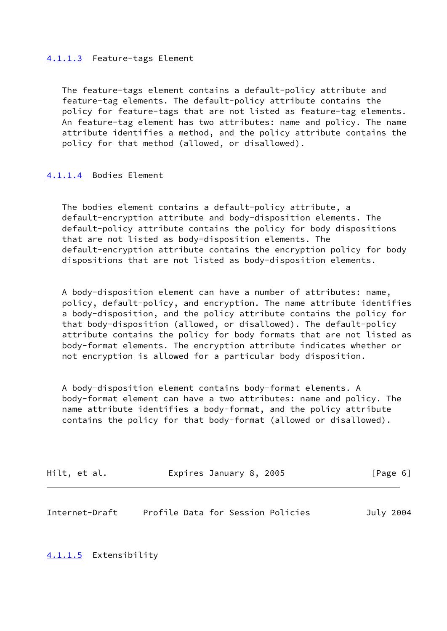### <span id="page-7-1"></span>[4.1.1.3](#page-7-1) Feature-tags Element

 The feature-tags element contains a default-policy attribute and feature-tag elements. The default-policy attribute contains the policy for feature-tags that are not listed as feature-tag elements. An feature-tag element has two attributes: name and policy. The name attribute identifies a method, and the policy attribute contains the policy for that method (allowed, or disallowed).

### <span id="page-7-2"></span>[4.1.1.4](#page-7-2) Bodies Element

 The bodies element contains a default-policy attribute, a default-encryption attribute and body-disposition elements. The default-policy attribute contains the policy for body dispositions that are not listed as body-disposition elements. The default-encryption attribute contains the encryption policy for body dispositions that are not listed as body-disposition elements.

 A body-disposition element can have a number of attributes: name, policy, default-policy, and encryption. The name attribute identifies a body-disposition, and the policy attribute contains the policy for that body-disposition (allowed, or disallowed). The default-policy attribute contains the policy for body formats that are not listed as body-format elements. The encryption attribute indicates whether or not encryption is allowed for a particular body disposition.

 A body-disposition element contains body-format elements. A body-format element can have a two attributes: name and policy. The name attribute identifies a body-format, and the policy attribute contains the policy for that body-format (allowed or disallowed).

| Hilt, et al. | Expires January 8, 2005 | [Page 6] |
|--------------|-------------------------|----------|
|              |                         |          |

<span id="page-7-0"></span>

| Internet-Draft |  | Profile Data for Session Policies | July 2004 |
|----------------|--|-----------------------------------|-----------|
|----------------|--|-----------------------------------|-----------|

<span id="page-7-3"></span>[4.1.1.5](#page-7-3) Extensibility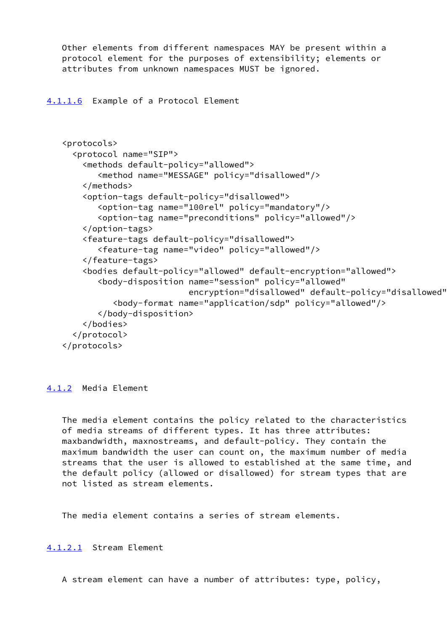Other elements from different namespaces MAY be present within a protocol element for the purposes of extensibility; elements or attributes from unknown namespaces MUST be ignored.

<span id="page-8-1"></span>[4.1.1.6](#page-8-1) Example of a Protocol Element

```
 <protocols>
  <protocol name="SIP">
    <methods default-policy="allowed">
       <method name="MESSAGE" policy="disallowed"/>
    </methods>
    <option-tags default-policy="disallowed">
       <option-tag name="100rel" policy="mandatory"/>
       <option-tag name="preconditions" policy="allowed"/>
    </option-tags>
    <feature-tags default-policy="disallowed">
       <feature-tag name="video" policy="allowed"/>
    </feature-tags>
    <bodies default-policy="allowed" default-encryption="allowed">
       <body-disposition name="session" policy="allowed"
                          encryption="disallowed" default-policy="disallowed">
          <body-format name="application/sdp" policy="allowed"/>
       </body-disposition>
    </bodies>
  </protocol>
</protocols>
```
<span id="page-8-0"></span>[4.1.2](#page-8-0) Media Element

 The media element contains the policy related to the characteristics of media streams of different types. It has three attributes: maxbandwidth, maxnostreams, and default-policy. They contain the maximum bandwidth the user can count on, the maximum number of media streams that the user is allowed to established at the same time, and the default policy (allowed or disallowed) for stream types that are not listed as stream elements.

The media element contains a series of stream elements.

<span id="page-8-2"></span>[4.1.2.1](#page-8-2) Stream Element

A stream element can have a number of attributes: type, policy,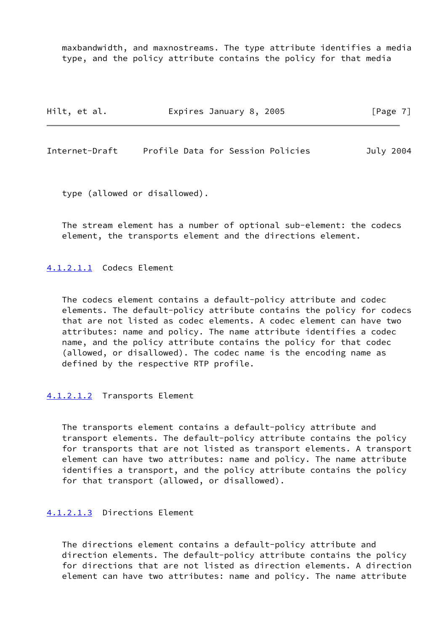maxbandwidth, and maxnostreams. The type attribute identifies a media type, and the policy attribute contains the policy for that media

| Hilt, et al.   | Expires January 8, 2005           | [Page 7]  |  |
|----------------|-----------------------------------|-----------|--|
|                |                                   |           |  |
| Internet-Draft | Profile Data for Session Policies | July 2004 |  |

type (allowed or disallowed).

 The stream element has a number of optional sub-element: the codecs element, the transports element and the directions element.

<span id="page-9-0"></span>[4.1.2.1.1](#page-9-0) Codecs Element

 The codecs element contains a default-policy attribute and codec elements. The default-policy attribute contains the policy for codecs that are not listed as codec elements. A codec element can have two attributes: name and policy. The name attribute identifies a codec name, and the policy attribute contains the policy for that codec (allowed, or disallowed). The codec name is the encoding name as defined by the respective RTP profile.

#### <span id="page-9-1"></span>[4.1.2.1.2](#page-9-1) Transports Element

 The transports element contains a default-policy attribute and transport elements. The default-policy attribute contains the policy for transports that are not listed as transport elements. A transport element can have two attributes: name and policy. The name attribute identifies a transport, and the policy attribute contains the policy for that transport (allowed, or disallowed).

#### <span id="page-9-2"></span>[4.1.2.1.3](#page-9-2) Directions Element

 The directions element contains a default-policy attribute and direction elements. The default-policy attribute contains the policy for directions that are not listed as direction elements. A direction element can have two attributes: name and policy. The name attribute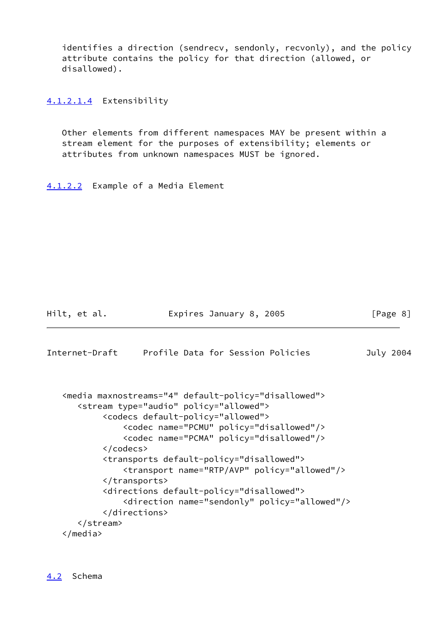identifies a direction (sendrecv, sendonly, recvonly), and the policy attribute contains the policy for that direction (allowed, or disallowed).

<span id="page-10-2"></span>[4.1.2.1.4](#page-10-2) Extensibility

 Other elements from different namespaces MAY be present within a stream element for the purposes of extensibility; elements or attributes from unknown namespaces MUST be ignored.

<span id="page-10-3"></span>[4.1.2.2](#page-10-3) Example of a Media Element

Hilt, et al. Expires January 8, 2005 [Page 8]

```
Internet-Draft Profile Data for Session Policies July 2004
   <media maxnostreams="4" default-policy="disallowed">
      <stream type="audio" policy="allowed">
           <codecs default-policy="allowed">
               <codec name="PCMU" policy="disallowed"/>
               <codec name="PCMA" policy="disallowed"/>
           </codecs>
           <transports default-policy="disallowed">
               <transport name="RTP/AVP" policy="allowed"/>
           </transports>
           <directions default-policy="disallowed">
               <direction name="sendonly" policy="allowed"/>
           </directions>
      </stream>
   </media>
```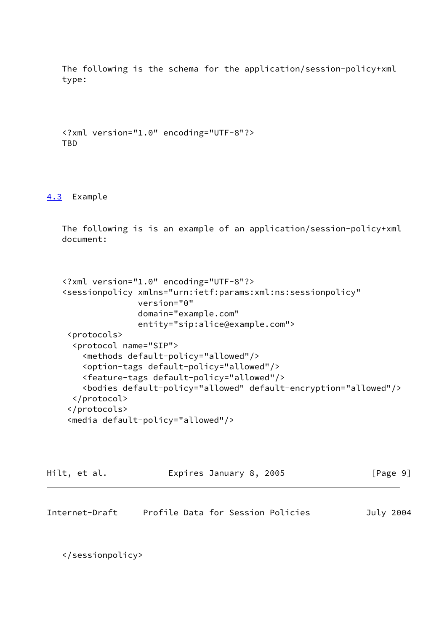The following is the schema for the application/session-policy+xml type:

 <?xml version="1.0" encoding="UTF-8"?> TBD

<span id="page-11-0"></span>[4.3](#page-11-0) Example

 The following is is an example of an application/session-policy+xml document:

```
 <?xml version="1.0" encoding="UTF-8"?>
<sessionpolicy xmlns="urn:ietf:params:xml:ns:sessionpolicy"
               version="0"
               domain="example.com"
               entity="sip:alice@example.com">
 <protocols>
  <protocol name="SIP">
    <methods default-policy="allowed"/>
    <option-tags default-policy="allowed"/>
    <feature-tags default-policy="allowed"/>
    <bodies default-policy="allowed" default-encryption="allowed"/>
  </protocol>
 </protocols>
 <media default-policy="allowed"/>
```

| Hilt, et al. | Expires January 8, 2005 | [Page 9] |  |
|--------------|-------------------------|----------|--|
|              |                         |          |  |

<span id="page-11-1"></span>Internet-Draft Profile Data for Session Policies July 2004

</sessionpolicy>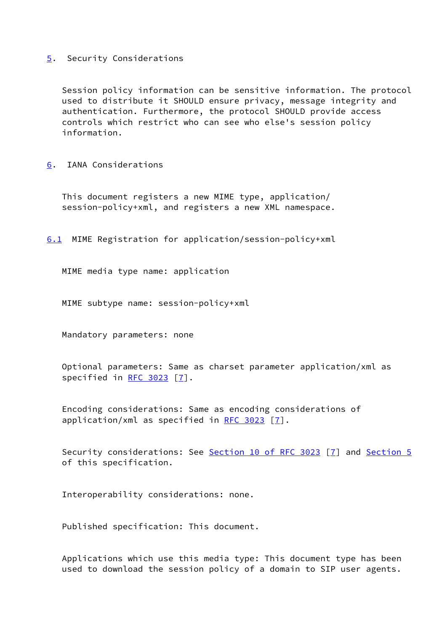### <span id="page-12-0"></span>[5](#page-12-0). Security Considerations

 Session policy information can be sensitive information. The protocol used to distribute it SHOULD ensure privacy, message integrity and authentication. Furthermore, the protocol SHOULD provide access controls which restrict who can see who else's session policy information.

<span id="page-12-1"></span>[6](#page-12-1). IANA Considerations

 This document registers a new MIME type, application/ session-policy+xml, and registers a new XML namespace.

<span id="page-12-2"></span>[6.1](#page-12-2) MIME Registration for application/session-policy+xml

MIME media type name: application

MIME subtype name: session-policy+xml

Mandatory parameters: none

 Optional parameters: Same as charset parameter application/xml as specified in [RFC 3023](https://datatracker.ietf.org/doc/pdf/rfc3023) [[7\]](#page-15-4).

 Encoding considerations: Same as encoding considerations of application/xml as specified in [RFC 3023](https://datatracker.ietf.org/doc/pdf/rfc3023)  $[7]$ .

Security considerations: See Section [10 of RFC 3023](https://datatracker.ietf.org/doc/pdf/rfc3023#section-10) [\[7](#page-15-4)] and [Section 5](#page-12-0) of this specification.

Interoperability considerations: none.

Published specification: This document.

 Applications which use this media type: This document type has been used to download the session policy of a domain to SIP user agents.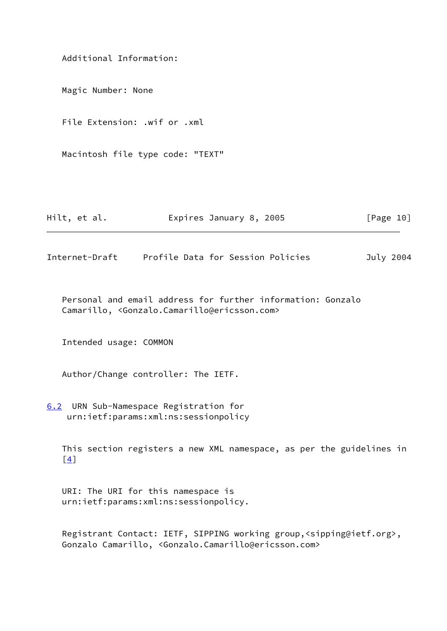Additional Information: Magic Number: None File Extension: .wif or .xml Macintosh file type code: "TEXT"

| Hilt, et al. |  | Expires January 8, 2005 |  |  | [Page 10] |  |
|--------------|--|-------------------------|--|--|-----------|--|
|--------------|--|-------------------------|--|--|-----------|--|

<span id="page-13-0"></span>Internet-Draft Profile Data for Session Policies July 2004

 Personal and email address for further information: Gonzalo Camarillo, <Gonzalo.Camarillo@ericsson.com>

Intended usage: COMMON

Author/Change controller: The IETF.

<span id="page-13-1"></span>[6.2](#page-13-1) URN Sub-Namespace Registration for urn:ietf:params:xml:ns:sessionpolicy

 This section registers a new XML namespace, as per the guidelines in [\[4](#page-14-5)]

 URI: The URI for this namespace is urn:ietf:params:xml:ns:sessionpolicy.

 Registrant Contact: IETF, SIPPING working group,<sipping@ietf.org>, Gonzalo Camarillo, <Gonzalo.Camarillo@ericsson.com>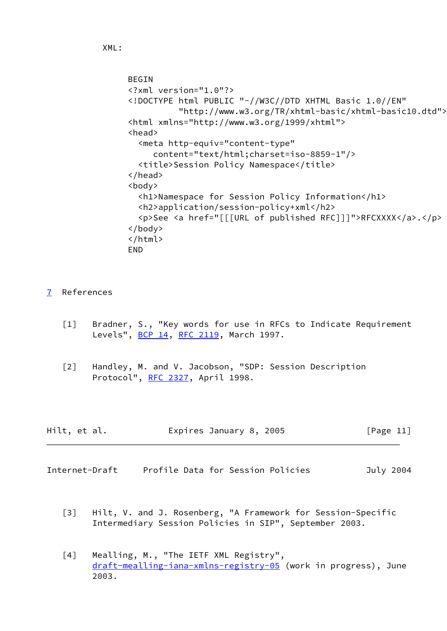```
 BEGIN
<?xml version="1.0"?>
<!DOCTYPE html PUBLIC "-//W3C//DTD XHTML Basic 1.0//EN"
          "http://www.w3.org/TR/xhtml-basic/xhtml-basic10.dtd">
<html xmlns="http://www.w3.org/1999/xhtml">
<head>
  <meta http-equiv="content-type"
     content="text/html;charset=iso-8859-1"/>
  <title>Session Policy Namespace</title>
</head>
<body>
  <h1>Namespace for Session Policy Information</h1>
  <h2>application/session-policy+xml</h2>
  <p>See <a href="[[[URL of published RFC]]]">RFCXXXX</a>.</p>
</body>
</html>
END
```
- <span id="page-14-4"></span><span id="page-14-1"></span>[7](#page-14-1) References
	- [1] Bradner, S., "Key words for use in RFCs to Indicate Requirement Levels", [BCP 14](https://datatracker.ietf.org/doc/pdf/bcp14), [RFC 2119,](https://datatracker.ietf.org/doc/pdf/rfc2119) March 1997.
	- [2] Handley, M. and V. Jacobson, "SDP: Session Description Protocol", [RFC 2327](https://datatracker.ietf.org/doc/pdf/rfc2327), April 1998.

<span id="page-14-2"></span>

| Hilt, et al. | Expires January 8, 2005 | [Page 11] |
|--------------|-------------------------|-----------|
|--------------|-------------------------|-----------|

- <span id="page-14-5"></span><span id="page-14-3"></span><span id="page-14-0"></span>Internet-Draft Profile Data for Session Policies July 2004
	- [3] Hilt, V. and J. Rosenberg, "A Framework for Session-Specific Intermediary Session Policies in SIP", September 2003.
	- [4] Mealling, M., "The IETF XML Registry", [draft-mealling-iana-xmlns-registry-05](https://datatracker.ietf.org/doc/pdf/draft-mealling-iana-xmlns-registry-05) (work in progress), June 2003.

```
 XML:
```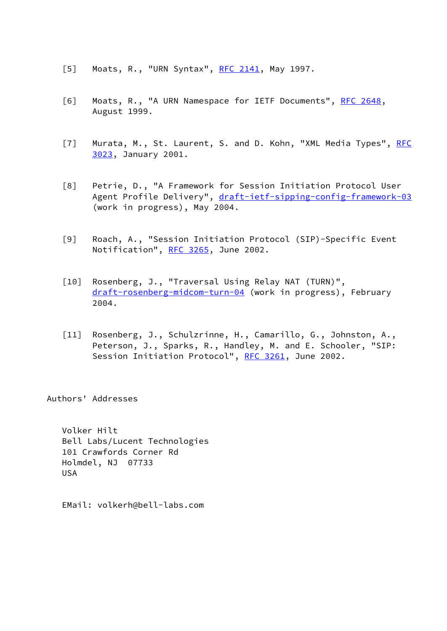- <span id="page-15-2"></span>[5] Moats, R., "URN Syntax", [RFC 2141,](https://datatracker.ietf.org/doc/pdf/rfc2141) May 1997.
- <span id="page-15-3"></span>[6] Moats, R., "A URN Namespace for IETF Documents", [RFC 2648,](https://datatracker.ietf.org/doc/pdf/rfc2648) August 1999.
- <span id="page-15-4"></span>[7] Murata, M., St. Laurent, S. and D. Kohn, "XML Media Types", [RFC](https://datatracker.ietf.org/doc/pdf/rfc3023) [3023](https://datatracker.ietf.org/doc/pdf/rfc3023), January 2001.
- <span id="page-15-1"></span> [8] Petrie, D., "A Framework for Session Initiation Protocol User Agent Profile Delivery", [draft-ietf-sipping-config-framework-03](https://datatracker.ietf.org/doc/pdf/draft-ietf-sipping-config-framework-03) (work in progress), May 2004.
- [9] Roach, A., "Session Initiation Protocol (SIP)-Specific Event Notification", [RFC 3265](https://datatracker.ietf.org/doc/pdf/rfc3265), June 2002.
- <span id="page-15-0"></span> [10] Rosenberg, J., "Traversal Using Relay NAT (TURN)", [draft-rosenberg-midcom-turn-04](https://datatracker.ietf.org/doc/pdf/draft-rosenberg-midcom-turn-04) (work in progress), February 2004.
- [11] Rosenberg, J., Schulzrinne, H., Camarillo, G., Johnston, A., Peterson, J., Sparks, R., Handley, M. and E. Schooler, "SIP: Session Initiation Protocol", [RFC 3261,](https://datatracker.ietf.org/doc/pdf/rfc3261) June 2002.

Authors' Addresses

 Volker Hilt Bell Labs/Lucent Technologies 101 Crawfords Corner Rd Holmdel, NJ 07733 USA

EMail: volkerh@bell-labs.com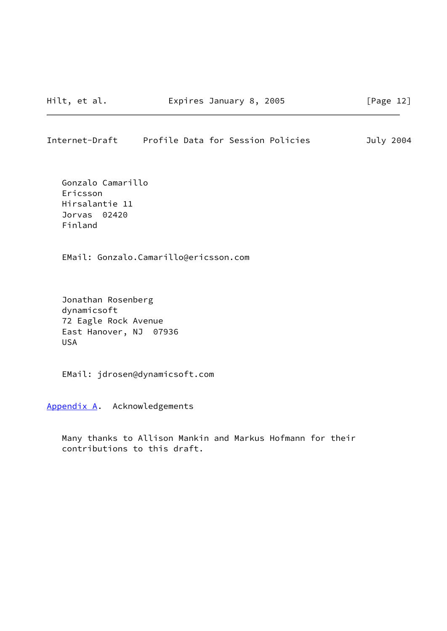### <span id="page-16-1"></span>Internet-Draft Profile Data for Session Policies July 2004

 Gonzalo Camarillo Ericsson Hirsalantie 11 Jorvas 02420 Finland

EMail: Gonzalo.Camarillo@ericsson.com

 Jonathan Rosenberg dynamicsoft 72 Eagle Rock Avenue East Hanover, NJ 07936 USA

EMail: jdrosen@dynamicsoft.com

<span id="page-16-0"></span>[Appendix A.](#page-16-0) Acknowledgements

 Many thanks to Allison Mankin and Markus Hofmann for their contributions to this draft.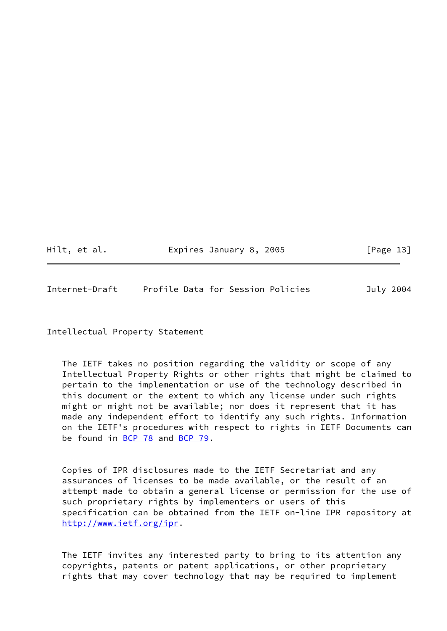Hilt, et al. **Expires January 8, 2005** [Page 13]

<span id="page-17-0"></span>Internet-Draft Profile Data for Session Policies July 2004

Intellectual Property Statement

 The IETF takes no position regarding the validity or scope of any Intellectual Property Rights or other rights that might be claimed to pertain to the implementation or use of the technology described in this document or the extent to which any license under such rights might or might not be available; nor does it represent that it has made any independent effort to identify any such rights. Information on the IETF's procedures with respect to rights in IETF Documents can be found in [BCP 78](https://datatracker.ietf.org/doc/pdf/bcp78) and [BCP 79](https://datatracker.ietf.org/doc/pdf/bcp79).

 Copies of IPR disclosures made to the IETF Secretariat and any assurances of licenses to be made available, or the result of an attempt made to obtain a general license or permission for the use of such proprietary rights by implementers or users of this specification can be obtained from the IETF on-line IPR repository at <http://www.ietf.org/ipr>.

 The IETF invites any interested party to bring to its attention any copyrights, patents or patent applications, or other proprietary rights that may cover technology that may be required to implement